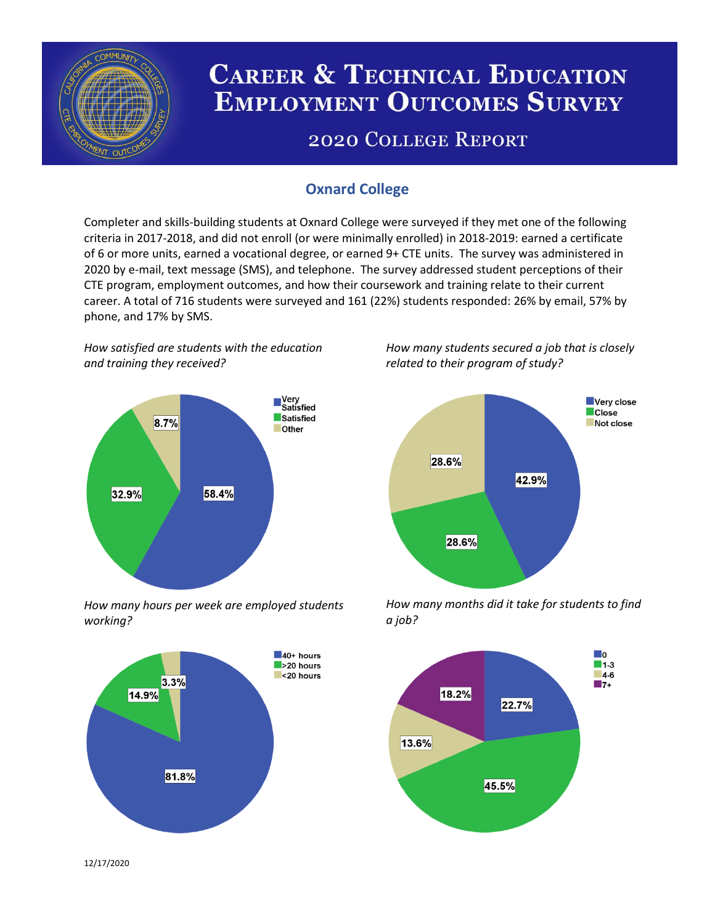

# **CAREER & TECHNICAL EDUCATION EMPLOYMENT OUTCOMES SURVEY**

## **2020 COLLEGE REPORT**

## **Oxnard College**

Completer and skills-building students at Oxnard College were surveyed if they met one of the following criteria in 2017-2018, and did not enroll (or were minimally enrolled) in 2018-2019: earned a certificate of 6 or more units, earned a vocational degree, or earned 9+ CTE units. The survey was administered in 2020 by e-mail, text message (SMS), and telephone. The survey addressed student perceptions of their CTE program, employment outcomes, and how their coursework and training relate to their current career. A total of 716 students were surveyed and 161 (22%) students responded: 26% by email, 57% by phone, and 17% by SMS.

*How satisfied are students with the education and training they received?*



*How many hours per week are employed students working?*



*How many students secured a job that is closely related to their program of study?*



*How many months did it take for students to find a job?*